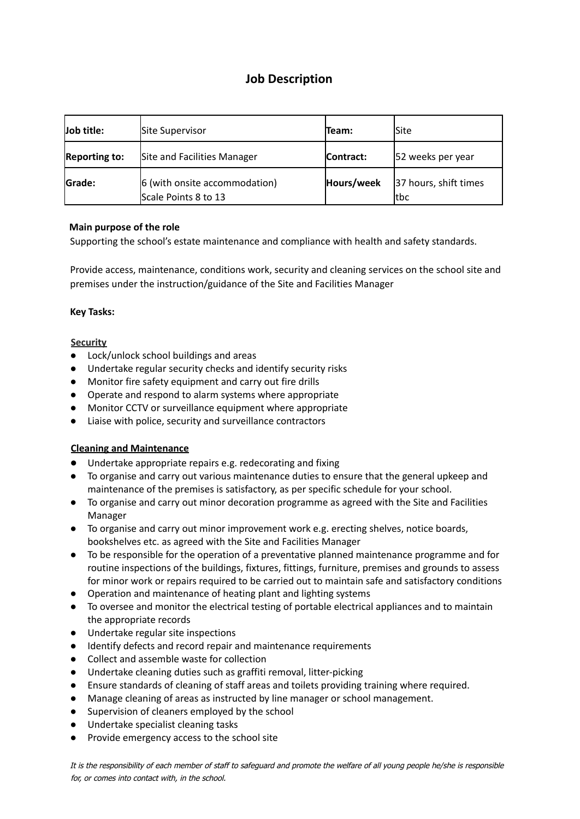# **Job Description**

| Job title:    | Site Supervisor                                       | lTeam:     | lSite                         |
|---------------|-------------------------------------------------------|------------|-------------------------------|
| Reporting to: | Site and Facilities Manager                           | Contract:  | 52 weeks per year             |
| <b>Grade:</b> | 6 (with onsite accommodation)<br>Scale Points 8 to 13 | Hours/week | 37 hours, shift times<br>ltbc |

## **Main purpose of the role**

Supporting the school's estate maintenance and compliance with health and safety standards.

Provide access, maintenance, conditions work, security and cleaning services on the school site and premises under the instruction/guidance of the Site and Facilities Manager

#### **Key Tasks:**

## **Security**

- Lock/unlock school buildings and areas
- Undertake regular security checks and identify security risks
- Monitor fire safety equipment and carry out fire drills
- Operate and respond to alarm systems where appropriate
- Monitor CCTV or surveillance equipment where appropriate
- Liaise with police, security and surveillance contractors

#### **Cleaning and Maintenance**

- Undertake appropriate repairs e.g. redecorating and fixing
- To organise and carry out various maintenance duties to ensure that the general upkeep and maintenance of the premises is satisfactory, as per specific schedule for your school.
- To organise and carry out minor decoration programme as agreed with the Site and Facilities Manager
- To organise and carry out minor improvement work e.g. erecting shelves, notice boards, bookshelves etc. as agreed with the Site and Facilities Manager
- To be responsible for the operation of a preventative planned maintenance programme and for routine inspections of the buildings, fixtures, fittings, furniture, premises and grounds to assess for minor work or repairs required to be carried out to maintain safe and satisfactory conditions
- Operation and maintenance of heating plant and lighting systems
- To oversee and monitor the electrical testing of portable electrical appliances and to maintain the appropriate records
- Undertake regular site inspections
- Identify defects and record repair and maintenance requirements
- Collect and assemble waste for collection
- Undertake cleaning duties such as graffiti removal, litter-picking
- Ensure standards of cleaning of staff areas and toilets providing training where required.
- Manage cleaning of areas as instructed by line manager or school management.
- Supervision of cleaners employed by the school
- Undertake specialist cleaning tasks
- Provide emergency access to the school site

It is the responsibility of each member of staff to safeguard and promote the welfare of all young people he/she is responsible for, or comes into contact with, in the school.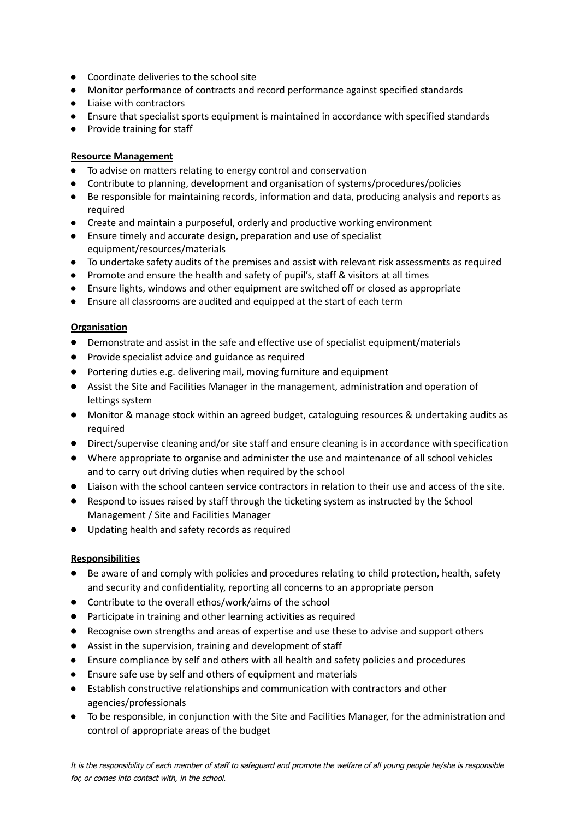- Coordinate deliveries to the school site
- Monitor performance of contracts and record performance against specified standards
- Liaise with contractors
- Ensure that specialist sports equipment is maintained in accordance with specified standards
- Provide training for staff

#### **Resource Management**

- To advise on matters relating to energy control and conservation
- Contribute to planning, development and organisation of systems/procedures/policies
- Be responsible for maintaining records, information and data, producing analysis and reports as required
- Create and maintain a purposeful, orderly and productive working environment
- Ensure timely and accurate design, preparation and use of specialist equipment/resources/materials
- To undertake safety audits of the premises and assist with relevant risk assessments as required
- Promote and ensure the health and safety of pupil's, staff & visitors at all times
- Ensure lights, windows and other equipment are switched off or closed as appropriate
- Ensure all classrooms are audited and equipped at the start of each term

## **Organisation**

- Demonstrate and assist in the safe and effective use of specialist equipment/materials
- Provide specialist advice and guidance as required
- Portering duties e.g. delivering mail, moving furniture and equipment
- Assist the Site and Facilities Manager in the management, administration and operation of lettings system
- Monitor & manage stock within an agreed budget, cataloguing resources & undertaking audits as required
- Direct/supervise cleaning and/or site staff and ensure cleaning is in accordance with specification
- Where appropriate to organise and administer the use and maintenance of all school vehicles and to carry out driving duties when required by the school
- Liaison with the school canteen service contractors in relation to their use and access of the site.
- Respond to issues raised by staff through the ticketing system as instructed by the School Management / Site and Facilities Manager
- Updating health and safety records as required

#### **Responsibilities**

- Be aware of and comply with policies and procedures relating to child protection, health, safety and security and confidentiality, reporting all concerns to an appropriate person
- Contribute to the overall ethos/work/aims of the school
- Participate in training and other learning activities as required
- Recognise own strengths and areas of expertise and use these to advise and support others
- Assist in the supervision, training and development of staff
- Ensure compliance by self and others with all health and safety policies and procedures
- Ensure safe use by self and others of equipment and materials
- Establish constructive relationships and communication with contractors and other agencies/professionals
- To be responsible, in conjunction with the Site and Facilities Manager, for the administration and control of appropriate areas of the budget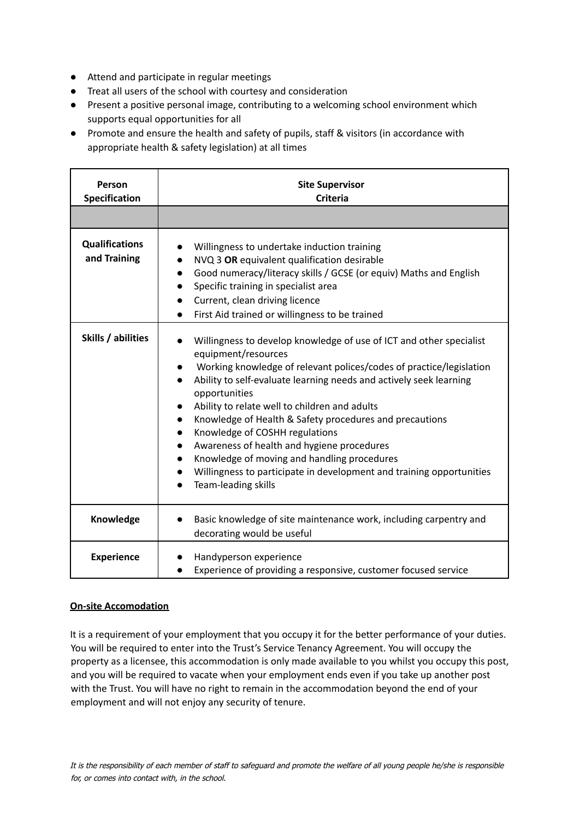- Attend and participate in regular meetings
- Treat all users of the school with courtesy and consideration
- Present a positive personal image, contributing to a welcoming school environment which supports equal opportunities for all
- Promote and ensure the health and safety of pupils, staff & visitors (in accordance with appropriate health & safety legislation) at all times

| Person<br>Specification               | <b>Site Supervisor</b><br><b>Criteria</b>                                                                                                                                                                                                                                                                                                                                                                                                                                                                                                                                                          |  |
|---------------------------------------|----------------------------------------------------------------------------------------------------------------------------------------------------------------------------------------------------------------------------------------------------------------------------------------------------------------------------------------------------------------------------------------------------------------------------------------------------------------------------------------------------------------------------------------------------------------------------------------------------|--|
|                                       |                                                                                                                                                                                                                                                                                                                                                                                                                                                                                                                                                                                                    |  |
| <b>Qualifications</b><br>and Training | Willingness to undertake induction training<br>NVQ 3 OR equivalent qualification desirable<br>Good numeracy/literacy skills / GCSE (or equiv) Maths and English<br>Specific training in specialist area<br>Current, clean driving licence<br>First Aid trained or willingness to be trained                                                                                                                                                                                                                                                                                                        |  |
| Skills / abilities                    | Willingness to develop knowledge of use of ICT and other specialist<br>equipment/resources<br>Working knowledge of relevant polices/codes of practice/legislation<br>Ability to self-evaluate learning needs and actively seek learning<br>opportunities<br>Ability to relate well to children and adults<br>Knowledge of Health & Safety procedures and precautions<br>Knowledge of COSHH regulations<br>Awareness of health and hygiene procedures<br>Knowledge of moving and handling procedures<br>Willingness to participate in development and training opportunities<br>Team-leading skills |  |
| Knowledge                             | Basic knowledge of site maintenance work, including carpentry and<br>decorating would be useful                                                                                                                                                                                                                                                                                                                                                                                                                                                                                                    |  |
| <b>Experience</b>                     | Handyperson experience<br>Experience of providing a responsive, customer focused service                                                                                                                                                                                                                                                                                                                                                                                                                                                                                                           |  |

## **On-site Accomodation**

It is a requirement of your employment that you occupy it for the better performance of your duties. You will be required to enter into the Trust's Service Tenancy Agreement. You will occupy the property as a licensee, this accommodation is only made available to you whilst you occupy this post, and you will be required to vacate when your employment ends even if you take up another post with the Trust. You will have no right to remain in the accommodation beyond the end of your employment and will not enjoy any security of tenure.